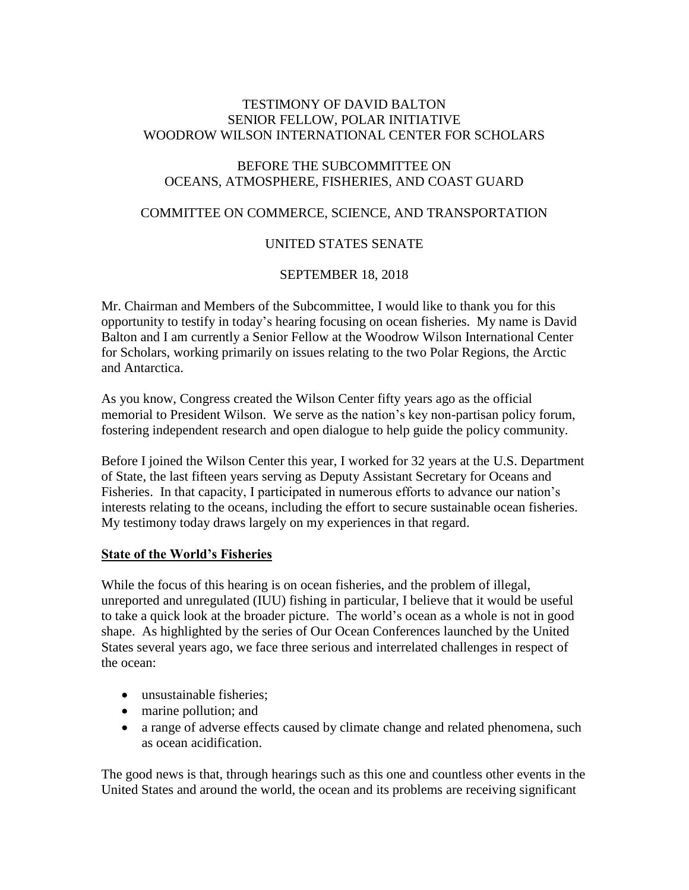### TESTIMONY OF DAVID BALTON SENIOR FELLOW, POLAR INITIATIVE WOODROW WILSON INTERNATIONAL CENTER FOR SCHOLARS

#### BEFORE THE SUBCOMMITTEE ON OCEANS, ATMOSPHERE, FISHERIES, AND COAST GUARD

### COMMITTEE ON COMMERCE, SCIENCE, AND TRANSPORTATION

### UNITED STATES SENATE

### SEPTEMBER 18, 2018

Mr. Chairman and Members of the Subcommittee, I would like to thank you for this opportunity to testify in today's hearing focusing on ocean fisheries. My name is David Balton and I am currently a Senior Fellow at the Woodrow Wilson International Center for Scholars, working primarily on issues relating to the two Polar Regions, the Arctic and Antarctica.

As you know, Congress created the Wilson Center fifty years ago as the official memorial to President Wilson. We serve as the nation's key non-partisan policy forum, fostering independent research and open dialogue to help guide the policy community.

Before I joined the Wilson Center this year, I worked for 32 years at the U.S. Department of State, the last fifteen years serving as Deputy Assistant Secretary for Oceans and Fisheries. In that capacity, I participated in numerous efforts to advance our nation's interests relating to the oceans, including the effort to secure sustainable ocean fisheries. My testimony today draws largely on my experiences in that regard.

#### **State of the World's Fisheries**

While the focus of this hearing is on ocean fisheries, and the problem of illegal, unreported and unregulated (IUU) fishing in particular, I believe that it would be useful to take a quick look at the broader picture. The world's ocean as a whole is not in good shape. As highlighted by the series of Our Ocean Conferences launched by the United States several years ago, we face three serious and interrelated challenges in respect of the ocean:

- unsustainable fisheries:
- marine pollution; and
- a range of adverse effects caused by climate change and related phenomena, such as ocean acidification.

The good news is that, through hearings such as this one and countless other events in the United States and around the world, the ocean and its problems are receiving significant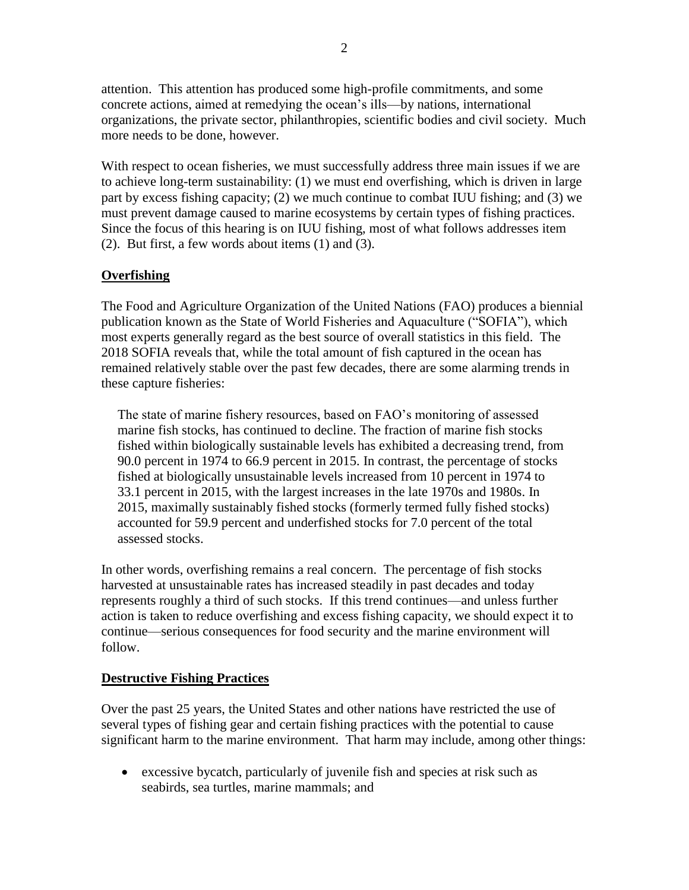attention. This attention has produced some high-profile commitments, and some concrete actions, aimed at remedying the ocean's ills—by nations, international organizations, the private sector, philanthropies, scientific bodies and civil society. Much more needs to be done, however.

With respect to ocean fisheries, we must successfully address three main issues if we are to achieve long-term sustainability: (1) we must end overfishing, which is driven in large part by excess fishing capacity; (2) we much continue to combat IUU fishing; and (3) we must prevent damage caused to marine ecosystems by certain types of fishing practices. Since the focus of this hearing is on IUU fishing, most of what follows addresses item (2). But first, a few words about items (1) and (3).

## **Overfishing**

The Food and Agriculture Organization of the United Nations (FAO) produces a biennial publication known as the State of World Fisheries and Aquaculture ("SOFIA"), which most experts generally regard as the best source of overall statistics in this field. The 2018 SOFIA reveals that, while the total amount of fish captured in the ocean has remained relatively stable over the past few decades, there are some alarming trends in these capture fisheries:

The state of marine fishery resources, based on FAO's monitoring of assessed marine fish stocks, has continued to decline. The fraction of marine fish stocks fished within biologically sustainable levels has exhibited a decreasing trend, from 90.0 percent in 1974 to 66.9 percent in 2015. In contrast, the percentage of stocks fished at biologically unsustainable levels increased from 10 percent in 1974 to 33.1 percent in 2015, with the largest increases in the late 1970s and 1980s. In 2015, maximally sustainably fished stocks (formerly termed fully fished stocks) accounted for 59.9 percent and underfished stocks for 7.0 percent of the total assessed stocks.

In other words, overfishing remains a real concern. The percentage of fish stocks harvested at unsustainable rates has increased steadily in past decades and today represents roughly a third of such stocks. If this trend continues—and unless further action is taken to reduce overfishing and excess fishing capacity, we should expect it to continue—serious consequences for food security and the marine environment will follow.

### **Destructive Fishing Practices**

Over the past 25 years, the United States and other nations have restricted the use of several types of fishing gear and certain fishing practices with the potential to cause significant harm to the marine environment. That harm may include, among other things:

 excessive bycatch, particularly of juvenile fish and species at risk such as seabirds, sea turtles, marine mammals; and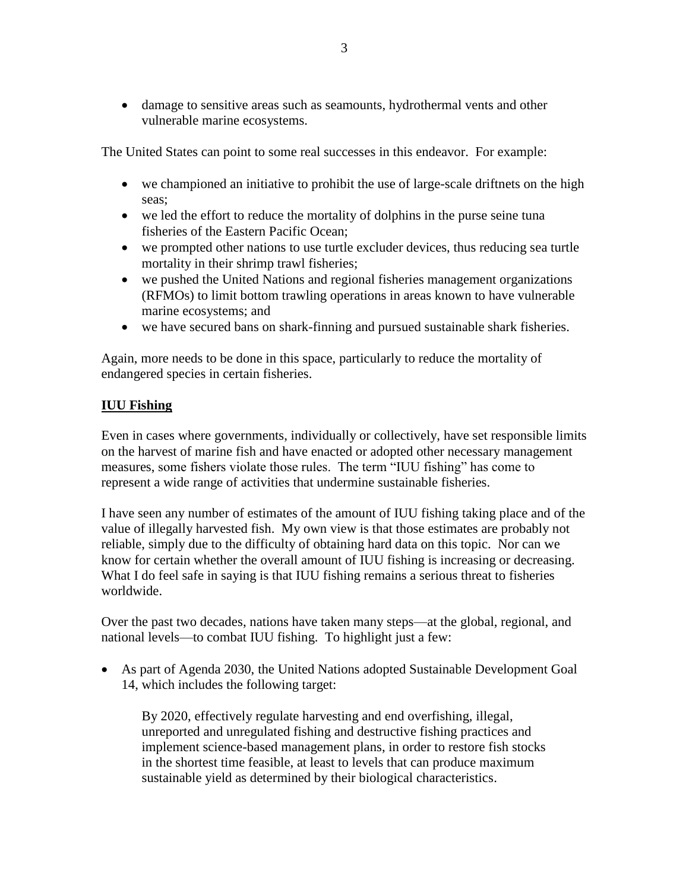damage to sensitive areas such as seamounts, hydrothermal vents and other vulnerable marine ecosystems.

The United States can point to some real successes in this endeavor. For example:

- we championed an initiative to prohibit the use of large-scale driftnets on the high seas;
- we led the effort to reduce the mortality of dolphins in the purse seine tuna fisheries of the Eastern Pacific Ocean;
- we prompted other nations to use turtle excluder devices, thus reducing sea turtle mortality in their shrimp trawl fisheries;
- we pushed the United Nations and regional fisheries management organizations (RFMOs) to limit bottom trawling operations in areas known to have vulnerable marine ecosystems; and
- we have secured bans on shark-finning and pursued sustainable shark fisheries.

Again, more needs to be done in this space, particularly to reduce the mortality of endangered species in certain fisheries.

## **IUU Fishing**

Even in cases where governments, individually or collectively, have set responsible limits on the harvest of marine fish and have enacted or adopted other necessary management measures, some fishers violate those rules. The term "IUU fishing" has come to represent a wide range of activities that undermine sustainable fisheries.

I have seen any number of estimates of the amount of IUU fishing taking place and of the value of illegally harvested fish. My own view is that those estimates are probably not reliable, simply due to the difficulty of obtaining hard data on this topic. Nor can we know for certain whether the overall amount of IUU fishing is increasing or decreasing. What I do feel safe in saying is that IUU fishing remains a serious threat to fisheries worldwide.

Over the past two decades, nations have taken many steps—at the global, regional, and national levels—to combat IUU fishing. To highlight just a few:

 As part of Agenda 2030, the United Nations adopted Sustainable Development Goal 14, which includes the following target:

By 2020, effectively regulate harvesting and end overfishing, illegal, unreported and unregulated fishing and destructive fishing practices and implement science-based management plans, in order to restore fish stocks in the shortest time feasible, at least to levels that can produce maximum sustainable yield as determined by their biological characteristics.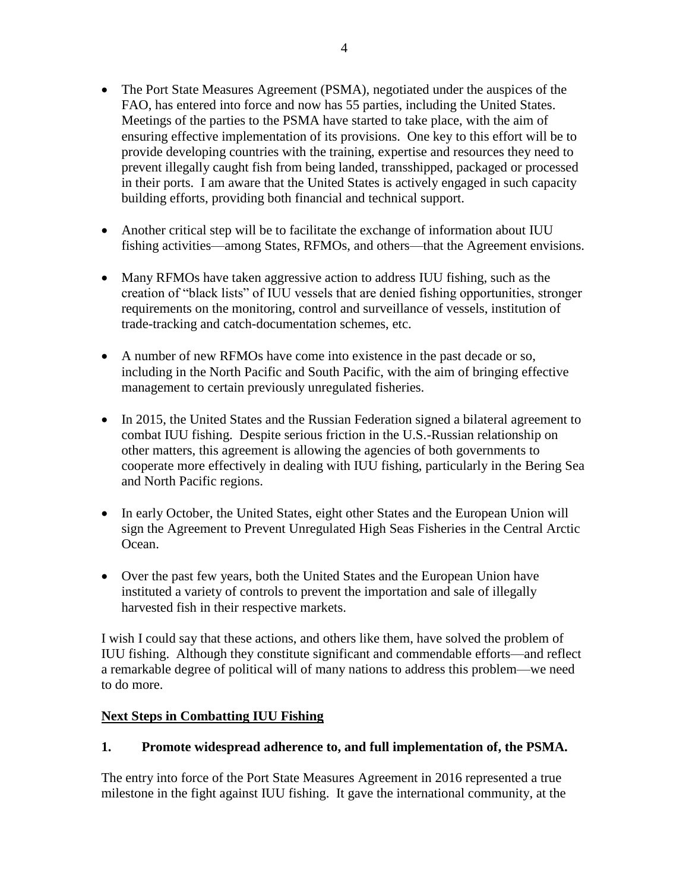- The Port State Measures Agreement (PSMA), negotiated under the auspices of the FAO, has entered into force and now has 55 parties, including the United States. Meetings of the parties to the PSMA have started to take place, with the aim of ensuring effective implementation of its provisions. One key to this effort will be to provide developing countries with the training, expertise and resources they need to prevent illegally caught fish from being landed, transshipped, packaged or processed in their ports. I am aware that the United States is actively engaged in such capacity building efforts, providing both financial and technical support.
- Another critical step will be to facilitate the exchange of information about IUU fishing activities—among States, RFMOs, and others—that the Agreement envisions.
- Many RFMOs have taken aggressive action to address IUU fishing, such as the creation of "black lists" of IUU vessels that are denied fishing opportunities, stronger requirements on the monitoring, control and surveillance of vessels, institution of trade-tracking and catch-documentation schemes, etc.
- A number of new RFMOs have come into existence in the past decade or so, including in the North Pacific and South Pacific, with the aim of bringing effective management to certain previously unregulated fisheries.
- In 2015, the United States and the Russian Federation signed a bilateral agreement to combat IUU fishing. Despite serious friction in the U.S.-Russian relationship on other matters, this agreement is allowing the agencies of both governments to cooperate more effectively in dealing with IUU fishing, particularly in the Bering Sea and North Pacific regions.
- In early October, the United States, eight other States and the European Union will sign the Agreement to Prevent Unregulated High Seas Fisheries in the Central Arctic Ocean.
- Over the past few years, both the United States and the European Union have instituted a variety of controls to prevent the importation and sale of illegally harvested fish in their respective markets.

I wish I could say that these actions, and others like them, have solved the problem of IUU fishing. Although they constitute significant and commendable efforts—and reflect a remarkable degree of political will of many nations to address this problem—we need to do more.

### **Next Steps in Combatting IUU Fishing**

# **1. Promote widespread adherence to, and full implementation of, the PSMA.**

The entry into force of the Port State Measures Agreement in 2016 represented a true milestone in the fight against IUU fishing. It gave the international community, at the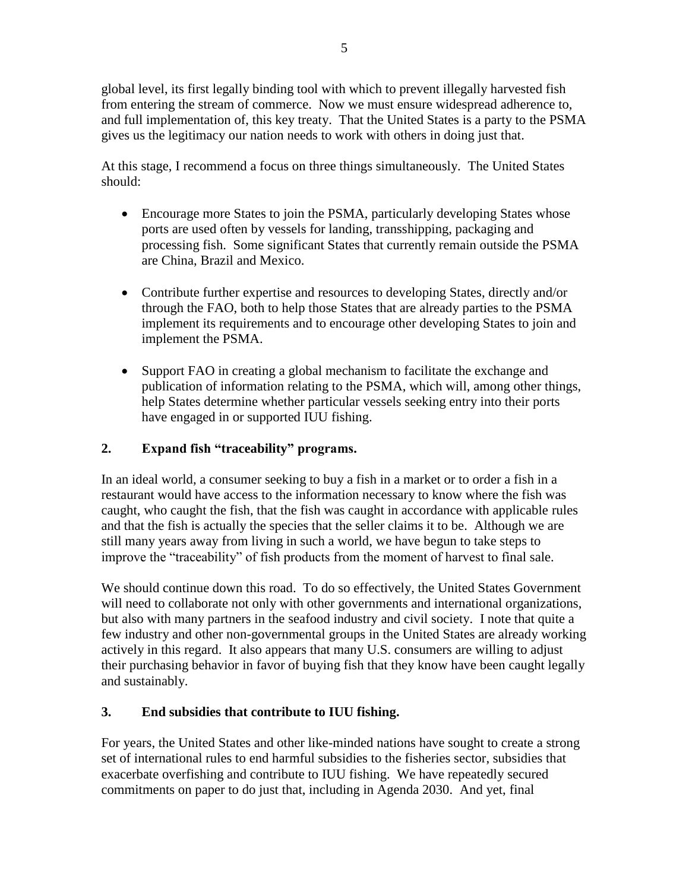global level, its first legally binding tool with which to prevent illegally harvested fish from entering the stream of commerce. Now we must ensure widespread adherence to, and full implementation of, this key treaty. That the United States is a party to the PSMA gives us the legitimacy our nation needs to work with others in doing just that.

At this stage, I recommend a focus on three things simultaneously. The United States should:

- Encourage more States to join the PSMA, particularly developing States whose ports are used often by vessels for landing, transshipping, packaging and processing fish. Some significant States that currently remain outside the PSMA are China, Brazil and Mexico.
- Contribute further expertise and resources to developing States, directly and/or through the FAO, both to help those States that are already parties to the PSMA implement its requirements and to encourage other developing States to join and implement the PSMA.
- Support FAO in creating a global mechanism to facilitate the exchange and publication of information relating to the PSMA, which will, among other things, help States determine whether particular vessels seeking entry into their ports have engaged in or supported IUU fishing.

## **2. Expand fish "traceability" programs.**

In an ideal world, a consumer seeking to buy a fish in a market or to order a fish in a restaurant would have access to the information necessary to know where the fish was caught, who caught the fish, that the fish was caught in accordance with applicable rules and that the fish is actually the species that the seller claims it to be. Although we are still many years away from living in such a world, we have begun to take steps to improve the "traceability" of fish products from the moment of harvest to final sale.

We should continue down this road. To do so effectively, the United States Government will need to collaborate not only with other governments and international organizations, but also with many partners in the seafood industry and civil society. I note that quite a few industry and other non-governmental groups in the United States are already working actively in this regard. It also appears that many U.S. consumers are willing to adjust their purchasing behavior in favor of buying fish that they know have been caught legally and sustainably.

# **3. End subsidies that contribute to IUU fishing.**

For years, the United States and other like-minded nations have sought to create a strong set of international rules to end harmful subsidies to the fisheries sector, subsidies that exacerbate overfishing and contribute to IUU fishing. We have repeatedly secured commitments on paper to do just that, including in Agenda 2030. And yet, final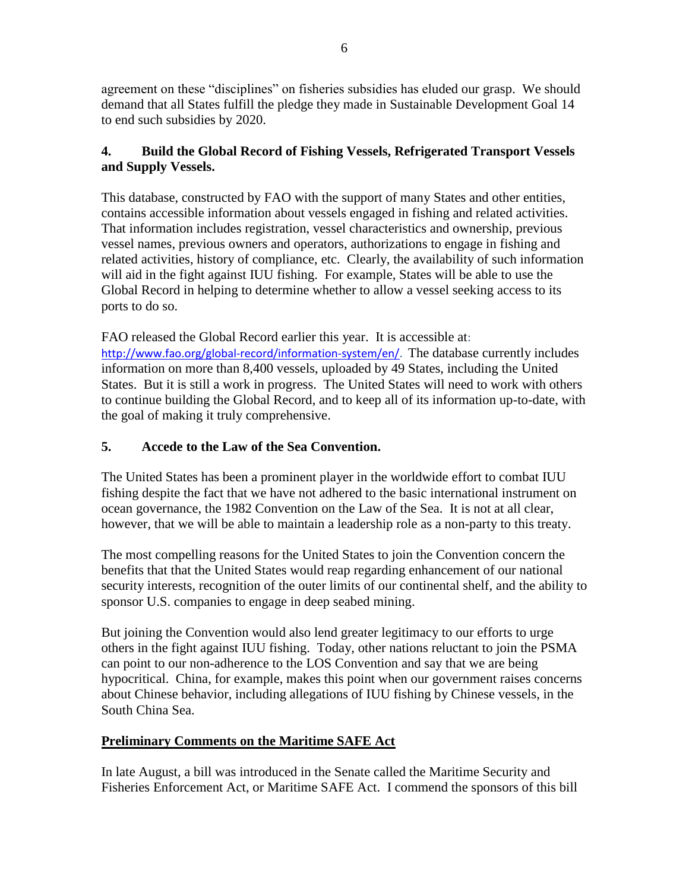agreement on these "disciplines" on fisheries subsidies has eluded our grasp. We should demand that all States fulfill the pledge they made in Sustainable Development Goal 14 to end such subsidies by 2020.

## **4. Build the Global Record of Fishing Vessels, Refrigerated Transport Vessels and Supply Vessels.**

This database, constructed by FAO with the support of many States and other entities, contains accessible information about vessels engaged in fishing and related activities. That information includes registration, vessel characteristics and ownership, previous vessel names, previous owners and operators, authorizations to engage in fishing and related activities, history of compliance, etc. Clearly, the availability of such information will aid in the fight against IUU fishing. For example, States will be able to use the Global Record in helping to determine whether to allow a vessel seeking access to its ports to do so.

FAO released the Global Record earlier this year. It is accessible at: [http://www.fao.org/global-record/information-system/en/.](http://www.fao.org/global-record/information-system/en/) The database currently includes information on more than 8,400 vessels, uploaded by 49 States, including the United States. But it is still a work in progress. The United States will need to work with others to continue building the Global Record, and to keep all of its information up-to-date, with the goal of making it truly comprehensive.

# **5. Accede to the Law of the Sea Convention.**

The United States has been a prominent player in the worldwide effort to combat IUU fishing despite the fact that we have not adhered to the basic international instrument on ocean governance, the 1982 Convention on the Law of the Sea. It is not at all clear, however, that we will be able to maintain a leadership role as a non-party to this treaty.

The most compelling reasons for the United States to join the Convention concern the benefits that that the United States would reap regarding enhancement of our national security interests, recognition of the outer limits of our continental shelf, and the ability to sponsor U.S. companies to engage in deep seabed mining.

But joining the Convention would also lend greater legitimacy to our efforts to urge others in the fight against IUU fishing. Today, other nations reluctant to join the PSMA can point to our non-adherence to the LOS Convention and say that we are being hypocritical. China, for example, makes this point when our government raises concerns about Chinese behavior, including allegations of IUU fishing by Chinese vessels, in the South China Sea.

# **Preliminary Comments on the Maritime SAFE Act**

In late August, a bill was introduced in the Senate called the Maritime Security and Fisheries Enforcement Act, or Maritime SAFE Act. I commend the sponsors of this bill